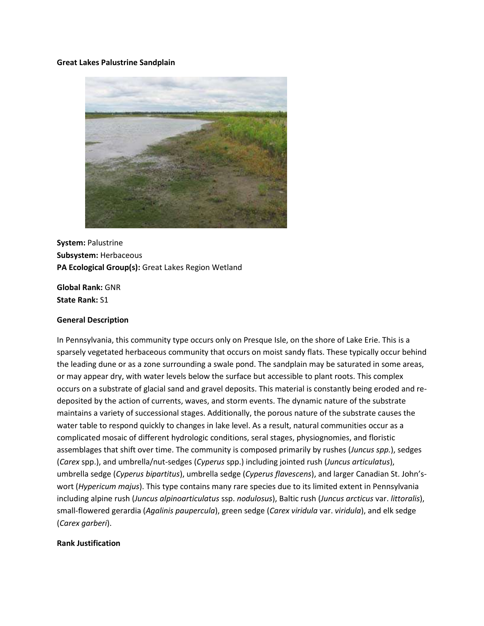#### **Great Lakes Palustrine Sandplain**



**System:** Palustrine **Subsystem:** Herbaceous **PA Ecological Group(s):** Great Lakes Region Wetland

**Global Rank:** GNR **State Rank:** S1

#### **General Description**

In Pennsylvania, this community type occurs only on Presque Isle, on the shore of Lake Erie. This is a sparsely vegetated herbaceous community that occurs on moist sandy flats. These typically occur behind the leading dune or as a zone surrounding a swale pond. The sandplain may be saturated in some areas, or may appear dry, with water levels below the surface but accessible to plant roots. This complex occurs on a substrate of glacial sand and gravel deposits. This material is constantly being eroded and redeposited by the action of currents, waves, and storm events. The dynamic nature of the substrate maintains a variety of successional stages. Additionally, the porous nature of the substrate causes the water table to respond quickly to changes in lake level. As a result, natural communities occur as a complicated mosaic of different hydrologic conditions, seral stages, physiognomies, and floristic assemblages that shift over time. The community is composed primarily by rushes (*Juncus spp.*), sedges (*Carex* spp.), and umbrella/nut-sedges (*Cyperus* spp.) including jointed rush (*Juncus articulatus*), umbrella sedge (*Cyperus bipartitus*), umbrella sedge (*Cyperus flavescens*), and larger Canadian St. John'swort (*Hypericum majus*). This type contains many rare species due to its limited extent in Pennsylvania including alpine rush (*Juncus alpinoarticulatus* ssp. *nodulosus*), Baltic rush (*Juncus arcticus* var. *littoralis*), small-flowered gerardia (*Agalinis paupercula*), green sedge (*Carex viridula* var. *viridula*), and elk sedge (*Carex garberi*).

## **Rank Justification**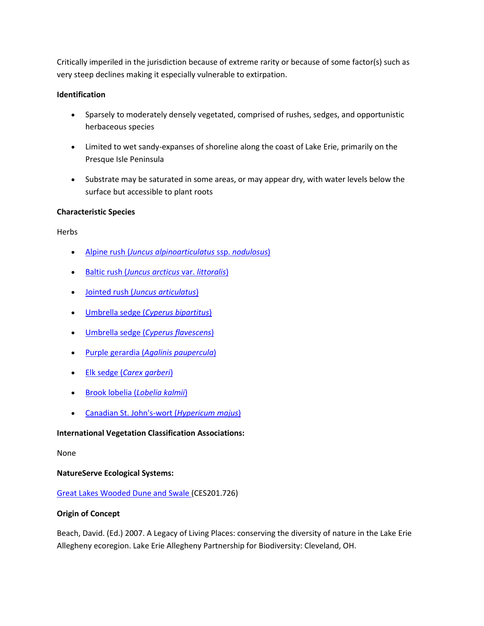Critically imperiled in the jurisdiction because of extreme rarity or because of some factor(s) such as very steep declines making it especially vulnerable to extirpation.

# **Identification**

- Sparsely to moderately densely vegetated, comprised of rushes, sedges, and opportunistic herbaceous species
- Limited to wet sandy-expanses of shoreline along the coast of Lake Erie, primarily on the Presque Isle Peninsula
- Substrate may be saturated in some areas, or may appear dry, with water levels below the surface but accessible to plant roots

# **Characteristic Species**

**Herbs** 

- Alpine rush (*[Juncus alpinoarticulatus](http://www.natureserve.org/explorer/servlet/NatureServe?searchName=Juncus+alpinoarticulatus+ssp.+nodulosus)* ssp. *nodulosus*)
- Baltic rush (*[Juncus arcticus](http://www.natureserve.org/explorer/servlet/NatureServe?searchName=Juncus+arcticus+var.+littoralis)* var. *littoralis*)
- Jointed rush (*[Juncus articulatus](http://www.natureserve.org/explorer/servlet/NatureServe?searchName=Juncus+articulatus)*)
- Umbrella sedge (*[Cyperus bipartitus](http://www.natureserve.org/explorer/servlet/NatureServe?searchName=Cyperus+bipartitus)*)
- Umbrella sedge (*[Cyperus flavescens](http://www.natureserve.org/explorer/servlet/NatureServe?searchName=Cyperus+flavescens)*)
- Purple gerardia (*[Agalinis paupercula](http://www.natureserve.org/explorer/servlet/NatureServe?searchName=Agalinis+paupercula)*)
- Elk sedge (*[Carex garberi](http://www.natureserve.org/explorer/servlet/NatureServe?searchName=Carex+garberi)*)
- [Brook lobelia \(](http://www.natureserve.org/explorer/servlet/NatureServe?searchName=Lobelia+kalmii)*Lobelia kalmii*)
- [Canadian St. John's-wort \(](http://www.natureserve.org/explorer/servlet/NatureServe?searchName=Hypericum+majus)*Hypericum majus*)

# **International Vegetation Classification Associations:**

## None

## **NatureServe Ecological Systems:**

# [Great Lakes Wooded Dune and Swale \(](http://www.natureserve.org/explorer/servlet/NatureServe?searchSystemUid=ELEMENT_GLOBAL.2.722946)CES201.726)

## **Origin of Concept**

Beach, David. (Ed.) 2007. A Legacy of Living Places: conserving the diversity of nature in the Lake Erie Allegheny ecoregion. Lake Erie Allegheny Partnership for Biodiversity: Cleveland, OH.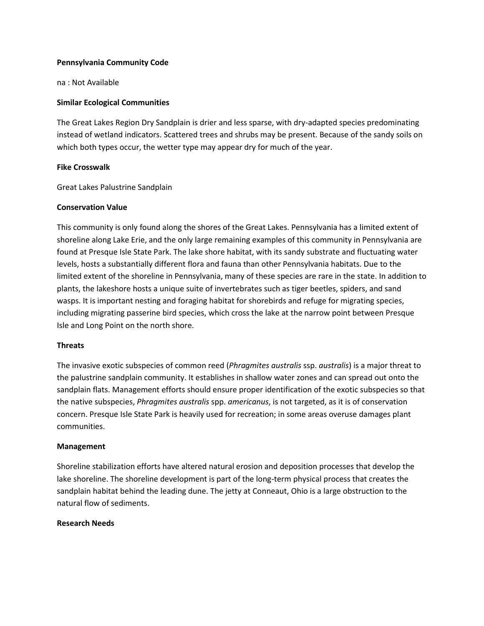### **Pennsylvania Community Code**

na : Not Available

### **Similar Ecological Communities**

The Great Lakes Region Dry Sandplain is drier and less sparse, with dry-adapted species predominating instead of wetland indicators. Scattered trees and shrubs may be present. Because of the sandy soils on which both types occur, the wetter type may appear dry for much of the year.

### **Fike Crosswalk**

Great Lakes Palustrine Sandplain

### **Conservation Value**

This community is only found along the shores of the Great Lakes. Pennsylvania has a limited extent of shoreline along Lake Erie, and the only large remaining examples of this community in Pennsylvania are found at Presque Isle State Park. The lake shore habitat, with its sandy substrate and fluctuating water levels, hosts a substantially different flora and fauna than other Pennsylvania habitats. Due to the limited extent of the shoreline in Pennsylvania, many of these species are rare in the state. In addition to plants, the lakeshore hosts a unique suite of invertebrates such as tiger beetles, spiders, and sand wasps. It is important nesting and foraging habitat for shorebirds and refuge for migrating species, including migrating passerine bird species, which cross the lake at the narrow point between Presque Isle and Long Point on the north shore.

## **Threats**

The invasive exotic subspecies of common reed (*Phragmites australis* ssp. *australis*) is a major threat to the palustrine sandplain community. It establishes in shallow water zones and can spread out onto the sandplain flats. Management efforts should ensure proper identification of the exotic subspecies so that the native subspecies, *Phragmites australis* spp. *americanus*, is not targeted, as it is of conservation concern. Presque Isle State Park is heavily used for recreation; in some areas overuse damages plant communities.

#### **Management**

Shoreline stabilization efforts have altered natural erosion and deposition processes that develop the lake shoreline. The shoreline development is part of the long-term physical process that creates the sandplain habitat behind the leading dune. The jetty at Conneaut, Ohio is a large obstruction to the natural flow of sediments.

#### **Research Needs**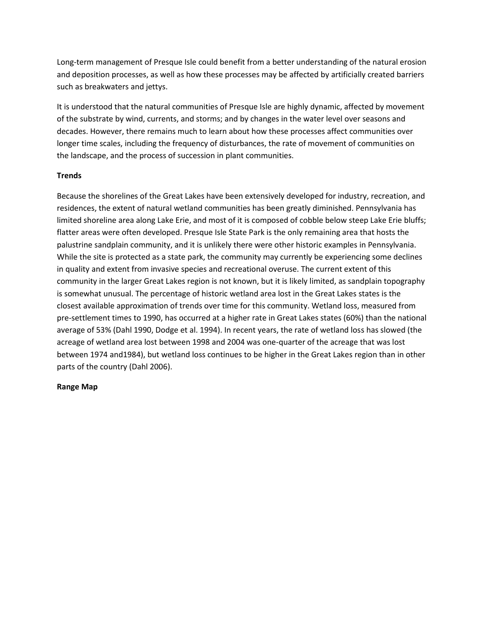Long-term management of Presque Isle could benefit from a better understanding of the natural erosion and deposition processes, as well as how these processes may be affected by artificially created barriers such as breakwaters and jettys.

It is understood that the natural communities of Presque Isle are highly dynamic, affected by movement of the substrate by wind, currents, and storms; and by changes in the water level over seasons and decades. However, there remains much to learn about how these processes affect communities over longer time scales, including the frequency of disturbances, the rate of movement of communities on the landscape, and the process of succession in plant communities.

## **Trends**

Because the shorelines of the Great Lakes have been extensively developed for industry, recreation, and residences, the extent of natural wetland communities has been greatly diminished. Pennsylvania has limited shoreline area along Lake Erie, and most of it is composed of cobble below steep Lake Erie bluffs; flatter areas were often developed. Presque Isle State Park is the only remaining area that hosts the palustrine sandplain community, and it is unlikely there were other historic examples in Pennsylvania. While the site is protected as a state park, the community may currently be experiencing some declines in quality and extent from invasive species and recreational overuse. The current extent of this community in the larger Great Lakes region is not known, but it is likely limited, as sandplain topography is somewhat unusual. The percentage of historic wetland area lost in the Great Lakes states is the closest available approximation of trends over time for this community. Wetland loss, measured from pre-settlement times to 1990, has occurred at a higher rate in Great Lakes states (60%) than the national average of 53% (Dahl 1990, Dodge et al. 1994). In recent years, the rate of wetland loss has slowed (the acreage of wetland area lost between 1998 and 2004 was one-quarter of the acreage that was lost between 1974 and1984), but wetland loss continues to be higher in the Great Lakes region than in other parts of the country (Dahl 2006).

## **Range Map**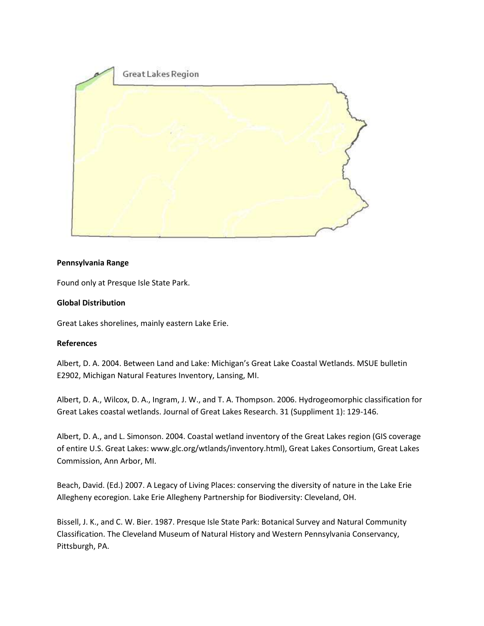

## **Pennsylvania Range**

Found only at Presque Isle State Park.

### **Global Distribution**

Great Lakes shorelines, mainly eastern Lake Erie.

#### **References**

Albert, D. A. 2004. Between Land and Lake: Michigan's Great Lake Coastal Wetlands. MSUE bulletin E2902, Michigan Natural Features Inventory, Lansing, MI.

Albert, D. A., Wilcox, D. A., Ingram, J. W., and T. A. Thompson. 2006. Hydrogeomorphic classification for Great Lakes coastal wetlands. Journal of Great Lakes Research. 31 (Suppliment 1): 129-146.

Albert, D. A., and L. Simonson. 2004. Coastal wetland inventory of the Great Lakes region (GIS coverage of entire U.S. Great Lakes: www.glc.org/wtlands/inventory.html), Great Lakes Consortium, Great Lakes Commission, Ann Arbor, MI.

Beach, David. (Ed.) 2007. A Legacy of Living Places: conserving the diversity of nature in the Lake Erie Allegheny ecoregion. Lake Erie Allegheny Partnership for Biodiversity: Cleveland, OH.

Bissell, J. K., and C. W. Bier. 1987. Presque Isle State Park: Botanical Survey and Natural Community Classification. The Cleveland Museum of Natural History and Western Pennsylvania Conservancy, Pittsburgh, PA.